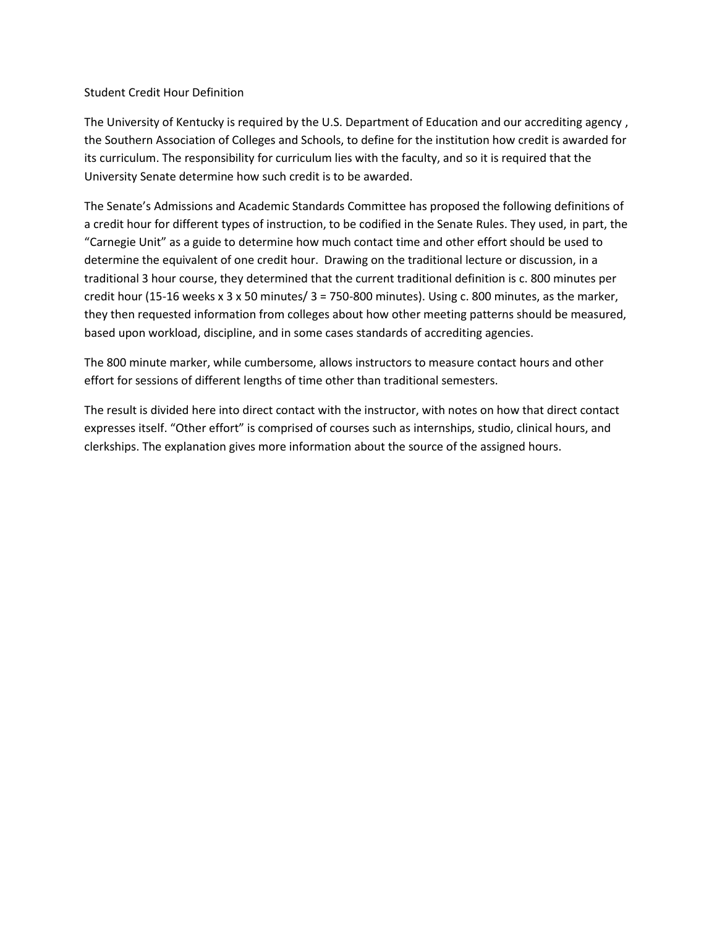## Student Credit Hour Definition

The University of Kentucky is required by the U.S. Department of Education and our accrediting agency , the Southern Association of Colleges and Schools, to define for the institution how credit is awarded for its curriculum. The responsibility for curriculum lies with the faculty, and so it is required that the University Senate determine how such credit is to be awarded.

The Senate's Admissions and Academic Standards Committee has proposed the following definitions of a credit hour for different types of instruction, to be codified in the Senate Rules. They used, in part, the "Carnegie Unit" as a guide to determine how much contact time and other effort should be used to determine the equivalent of one credit hour. Drawing on the traditional lecture or discussion, in a traditional 3 hour course, they determined that the current traditional definition is c. 800 minutes per credit hour (15-16 weeks x 3 x 50 minutes/  $3 = 750-800$  minutes). Using c. 800 minutes, as the marker, they then requested information from colleges about how other meeting patterns should be measured, based upon workload, discipline, and in some cases standards of accrediting agencies.

The 800 minute marker, while cumbersome, allows instructors to measure contact hours and other effort for sessions of different lengths of time other than traditional semesters.

The result is divided here into direct contact with the instructor, with notes on how that direct contact expresses itself. "Other effort" is comprised of courses such as internships, studio, clinical hours, and clerkships. The explanation gives more information about the source of the assigned hours.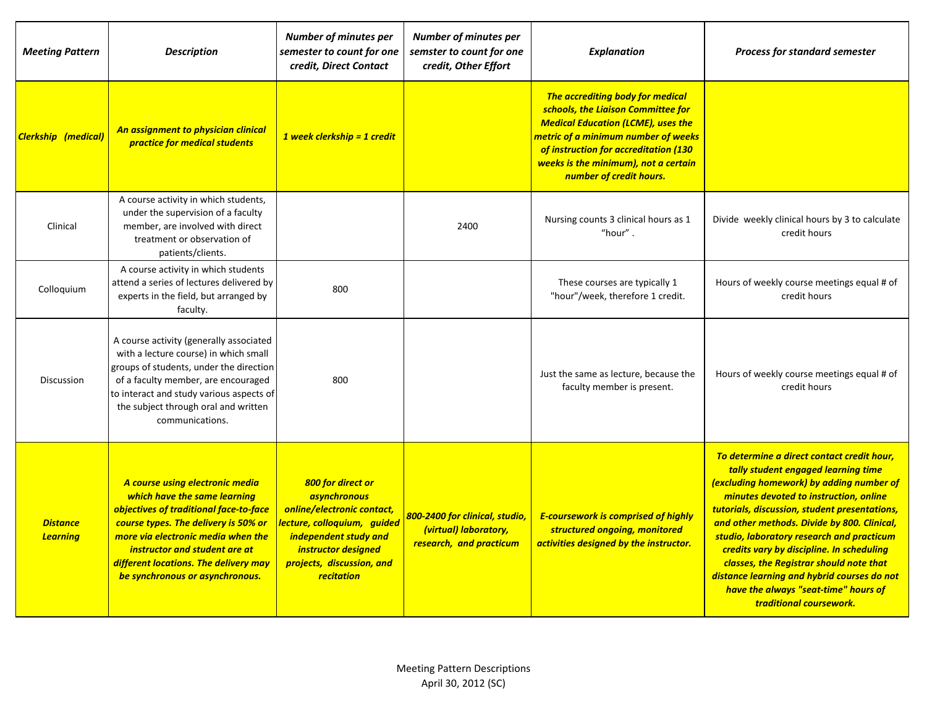| <b>Meeting Pattern</b>             | <b>Description</b>                                                                                                                                                                                                                                                                                   | <b>Number of minutes per</b><br>semester to count for one<br>credit, Direct Contact                                                                                                                     | <b>Number of minutes per</b><br>semster to count for one<br>credit, Other Effort   | <b>Explanation</b>                                                                                                                                                                                                                                                            | <b>Process for standard semester</b>                                                                                                                                                                                                                                                                                                                                                                                                                                                                                           |
|------------------------------------|------------------------------------------------------------------------------------------------------------------------------------------------------------------------------------------------------------------------------------------------------------------------------------------------------|---------------------------------------------------------------------------------------------------------------------------------------------------------------------------------------------------------|------------------------------------------------------------------------------------|-------------------------------------------------------------------------------------------------------------------------------------------------------------------------------------------------------------------------------------------------------------------------------|--------------------------------------------------------------------------------------------------------------------------------------------------------------------------------------------------------------------------------------------------------------------------------------------------------------------------------------------------------------------------------------------------------------------------------------------------------------------------------------------------------------------------------|
| <b>Clerkship</b> (medical)         | An assignment to physician clinical<br>practice for medical students                                                                                                                                                                                                                                 | 1 week clerkship = 1 credit                                                                                                                                                                             |                                                                                    | The accrediting body for medical<br>schools, the Liaison Committee for<br><b>Medical Education (LCME), uses the</b><br><u>metric of a minimum number of weeks</u><br>of instruction for accreditation (130<br>weeks is the minimum), not a certain<br>number of credit hours. |                                                                                                                                                                                                                                                                                                                                                                                                                                                                                                                                |
| Clinical                           | A course activity in which students,<br>under the supervision of a faculty<br>member, are involved with direct<br>treatment or observation of<br>patients/clients.                                                                                                                                   |                                                                                                                                                                                                         | 2400                                                                               | Nursing counts 3 clinical hours as 1<br>"hour".                                                                                                                                                                                                                               | Divide weekly clinical hours by 3 to calculate<br>credit hours                                                                                                                                                                                                                                                                                                                                                                                                                                                                 |
| Colloquium                         | A course activity in which students<br>attend a series of lectures delivered by<br>experts in the field, but arranged by<br>faculty.                                                                                                                                                                 | 800                                                                                                                                                                                                     |                                                                                    | These courses are typically 1<br>"hour"/week, therefore 1 credit.                                                                                                                                                                                                             | Hours of weekly course meetings equal # of<br>credit hours                                                                                                                                                                                                                                                                                                                                                                                                                                                                     |
| Discussion                         | A course activity (generally associated<br>with a lecture course) in which small<br>groups of students, under the direction<br>of a faculty member, are encouraged<br>to interact and study various aspects of<br>the subject through oral and written<br>communications.                            | 800                                                                                                                                                                                                     |                                                                                    | Just the same as lecture, because the<br>faculty member is present.                                                                                                                                                                                                           | Hours of weekly course meetings equal # of<br>credit hours                                                                                                                                                                                                                                                                                                                                                                                                                                                                     |
| <b>Distance</b><br><b>Learning</b> | A course using electronic media<br>which have the same learning<br>objectives of traditional face-to-face<br>course types. The delivery is 50% or<br>more via electronic media when the<br>instructor and student are at<br>different locations. The delivery may<br>be synchronous or asynchronous. | 800 for direct or<br><b>asynchronous</b><br>online/electronic contact,<br>lecture, colloquium, guided<br>independent study and<br>instructor designed<br>projects, discussion, and<br><b>recitation</b> | 800-2400 for clinical, studio,<br>(virtual) laboratory,<br>research, and practicum | <b>E-coursework is comprised of highly</b><br>structured ongoing, monitored<br>activities designed by the instructor.                                                                                                                                                         | To determine a direct contact credit hour,<br>tally student engaged learning time<br>(excluding homework) by adding number of<br>minutes devoted to instruction, online<br>tutorials, discussion, student presentations,<br>and other methods. Divide by 800. Clinical,<br>studio, laboratory research and practicum<br>credits vary by discipline. In scheduling<br>classes, the Registrar should note that<br>distance learning and hybrid courses do not<br>have the always "seat-time" hours of<br>traditional coursework. |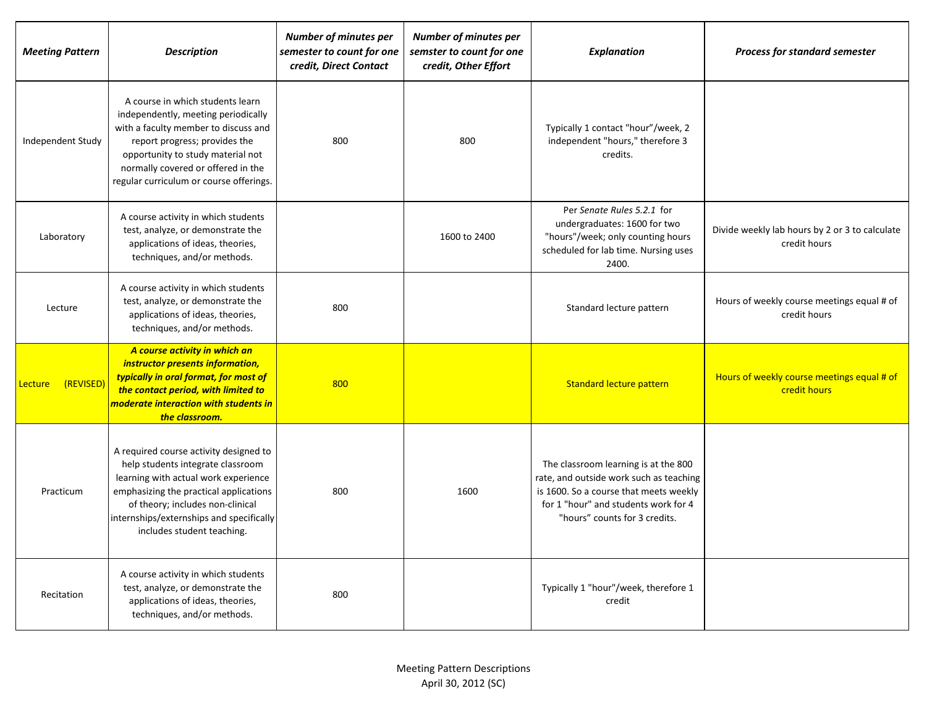| <b>Meeting Pattern</b> | <b>Description</b>                                                                                                                                                                                                                                                          | <b>Number of minutes per</b><br>semester to count for one<br>credit, Direct Contact | <b>Number of minutes per</b><br>semster to count for one<br>credit, Other Effort | <b>Explanation</b>                                                                                                                                                                                 | <b>Process for standard semester</b>                           |
|------------------------|-----------------------------------------------------------------------------------------------------------------------------------------------------------------------------------------------------------------------------------------------------------------------------|-------------------------------------------------------------------------------------|----------------------------------------------------------------------------------|----------------------------------------------------------------------------------------------------------------------------------------------------------------------------------------------------|----------------------------------------------------------------|
| Independent Study      | A course in which students learn<br>independently, meeting periodically<br>with a faculty member to discuss and<br>report progress; provides the<br>opportunity to study material not<br>normally covered or offered in the<br>regular curriculum or course offerings.      | 800                                                                                 | 800                                                                              | Typically 1 contact "hour"/week, 2<br>independent "hours," therefore 3<br>credits.                                                                                                                 |                                                                |
| Laboratory             | A course activity in which students<br>test, analyze, or demonstrate the<br>applications of ideas, theories,<br>techniques, and/or methods.                                                                                                                                 |                                                                                     | 1600 to 2400                                                                     | Per Senate Rules 5.2.1 for<br>undergraduates: 1600 for two<br>"hours"/week; only counting hours<br>scheduled for lab time. Nursing uses<br>2400.                                                   | Divide weekly lab hours by 2 or 3 to calculate<br>credit hours |
| Lecture                | A course activity in which students<br>test, analyze, or demonstrate the<br>applications of ideas, theories,<br>techniques, and/or methods.                                                                                                                                 | 800                                                                                 |                                                                                  | Standard lecture pattern                                                                                                                                                                           | Hours of weekly course meetings equal # of<br>credit hours     |
| (REVISED)<br>Lecture   | A course activity in which an<br>instructor presents information,<br>typically in oral format, for most of<br>the contact period, with limited to<br>moderate interaction with students in<br>the classroom.                                                                | 800                                                                                 |                                                                                  | <b>Standard lecture pattern</b>                                                                                                                                                                    | Hours of weekly course meetings equal # of<br>credit hours     |
| Practicum              | A required course activity designed to<br>help students integrate classroom<br>learning with actual work experience<br>emphasizing the practical applications<br>of theory; includes non-clinical<br>internships/externships and specifically<br>includes student teaching. | 800                                                                                 | 1600                                                                             | The classroom learning is at the 800<br>rate, and outside work such as teaching<br>is 1600. So a course that meets weekly<br>for 1 "hour" and students work for 4<br>"hours" counts for 3 credits. |                                                                |
| Recitation             | A course activity in which students<br>test, analyze, or demonstrate the<br>applications of ideas, theories,<br>techniques, and/or methods.                                                                                                                                 | 800                                                                                 |                                                                                  | Typically 1 "hour"/week, therefore 1<br>credit                                                                                                                                                     |                                                                |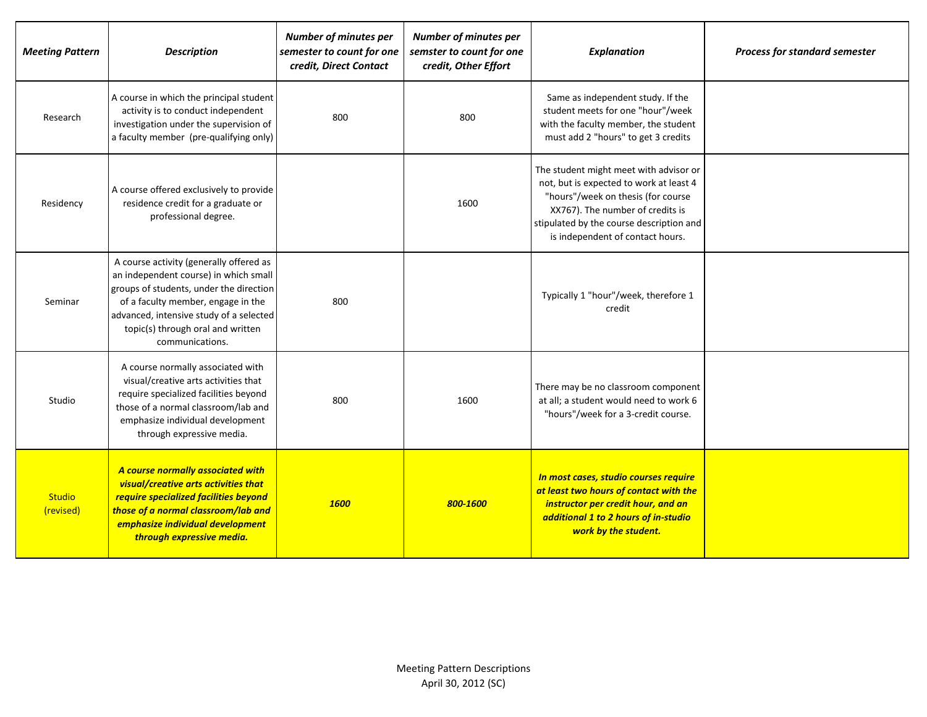| <b>Meeting Pattern</b>     | <b>Description</b>                                                                                                                                                                                                                                                   | <b>Number of minutes per</b><br>semester to count for one<br>credit, Direct Contact | <b>Number of minutes per</b><br>semster to count for one<br>credit, Other Effort | <b>Explanation</b>                                                                                                                                                                                                                          | <b>Process for standard semester</b> |
|----------------------------|----------------------------------------------------------------------------------------------------------------------------------------------------------------------------------------------------------------------------------------------------------------------|-------------------------------------------------------------------------------------|----------------------------------------------------------------------------------|---------------------------------------------------------------------------------------------------------------------------------------------------------------------------------------------------------------------------------------------|--------------------------------------|
| Research                   | A course in which the principal student<br>activity is to conduct independent<br>investigation under the supervision of<br>a faculty member (pre-qualifying only)                                                                                                    | 800                                                                                 | 800                                                                              | Same as independent study. If the<br>student meets for one "hour"/week<br>with the faculty member, the student<br>must add 2 "hours" to get 3 credits                                                                                       |                                      |
| Residency                  | A course offered exclusively to provide<br>residence credit for a graduate or<br>professional degree.                                                                                                                                                                |                                                                                     | 1600                                                                             | The student might meet with advisor or<br>not, but is expected to work at least 4<br>"hours"/week on thesis (for course<br>XX767). The number of credits is<br>stipulated by the course description and<br>is independent of contact hours. |                                      |
| Seminar                    | A course activity (generally offered as<br>an independent course) in which small<br>groups of students, under the direction<br>of a faculty member, engage in the<br>advanced, intensive study of a selected<br>topic(s) through oral and written<br>communications. | 800                                                                                 |                                                                                  | Typically 1 "hour"/week, therefore 1<br>credit                                                                                                                                                                                              |                                      |
| Studio                     | A course normally associated with<br>visual/creative arts activities that<br>require specialized facilities beyond<br>those of a normal classroom/lab and<br>emphasize individual development<br>through expressive media.                                           | 800                                                                                 | 1600                                                                             | There may be no classroom component<br>at all; a student would need to work 6<br>"hours"/week for a 3-credit course.                                                                                                                        |                                      |
| <b>Studio</b><br>(revised) | A course normally associated with<br>visual/creative arts activities that<br>require specialized facilities beyond<br>those of a normal classroom/lab and<br>emphasize individual development<br>through expressive media.                                           | <b>1600</b>                                                                         | 800-1600                                                                         | In most cases, studio courses require<br>at least two hours of contact with the<br>instructor per credit hour, and an<br>additional 1 to 2 hours of in-studio<br>work by the student.                                                       |                                      |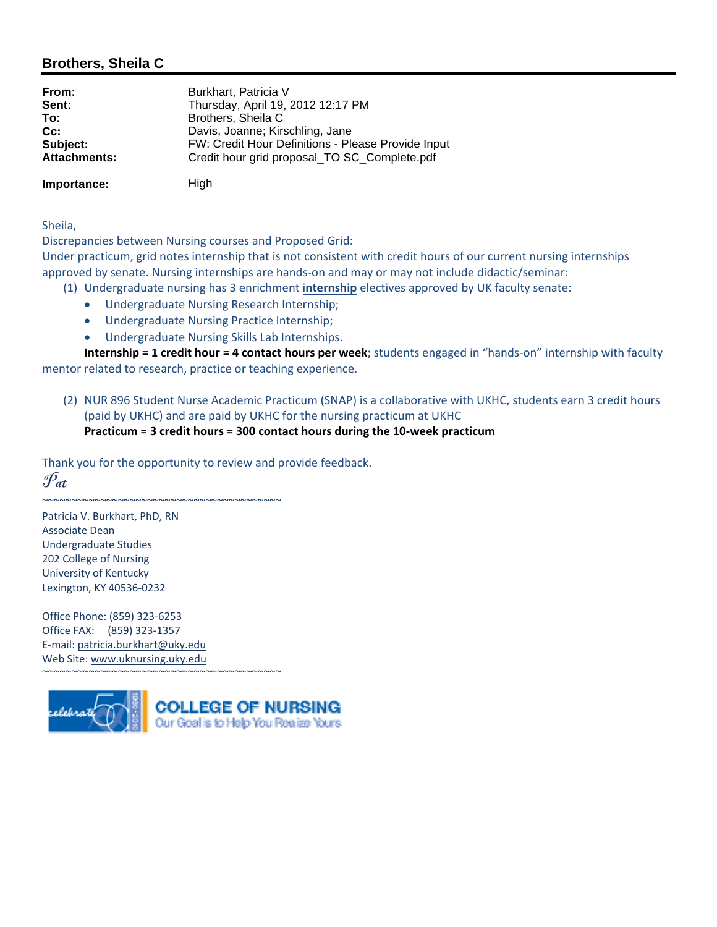## **Brothers, Sheila C**

| From:               | Burkhart, Patricia V                               |
|---------------------|----------------------------------------------------|
| Sent:               | Thursday, April 19, 2012 12:17 PM                  |
| To:                 | Brothers, Sheila C                                 |
| $Cc$ :              | Davis, Joanne; Kirschling, Jane                    |
| Subject:            | FW: Credit Hour Definitions - Please Provide Input |
| <b>Attachments:</b> | Credit hour grid proposal_TO SC_Complete.pdf       |
|                     |                                                    |

**Importance:** High

Sheila,

Discrepancies between Nursing courses and Proposed Grid:

Under practicum, grid notes internship that is not consistent with credit hours of our current nursing internships approved by senate. Nursing internships are hands-on and may or may not include didactic/seminar:

- (1) Undergraduate nursing has 3 enrichment i**nternship** electives approved by UK faculty senate:
	- Undergraduate Nursing Research Internship;
	- Undergraduate Nursing Practice Internship;
	- Undergraduate Nursing Skills Lab Internships.

**Internship = 1 credit hour = 4 contact hours per week;** students engaged in "hands‐on" internship with faculty mentor related to research, practice or teaching experience.

(2) NUR 896 Student Nurse Academic Practicum (SNAP) is a collaborative with UKHC, students earn 3 credit hours (paid by UKHC) and are paid by UKHC for the nursing practicum at UKHC **Practicum = 3 credit hours = 300 contact hours during the 10‐week practicum**

Thank you for the opportunity to review and provide feedback.  $\mathscr{P}_{at}$ 

~~~~~~~~~~~~~~~~~~~~~~~~~~~~~~~~~~~~~~~~~

~~~~~~~~~~~~~~~~~~~~~~~~~~~~~~~~~~~~~~~~~

Patricia V. Burkhart, PhD, RN Associate Dean Undergraduate Studies 202 College of Nursing University of Kentucky Lexington, KY 40536‐0232

Office Phone: (859) 323‐6253 Office FAX: (859) 323‐1357 E‐mail: patricia.burkhart@uky.edu Web Site: www.uknursing.uky.edu

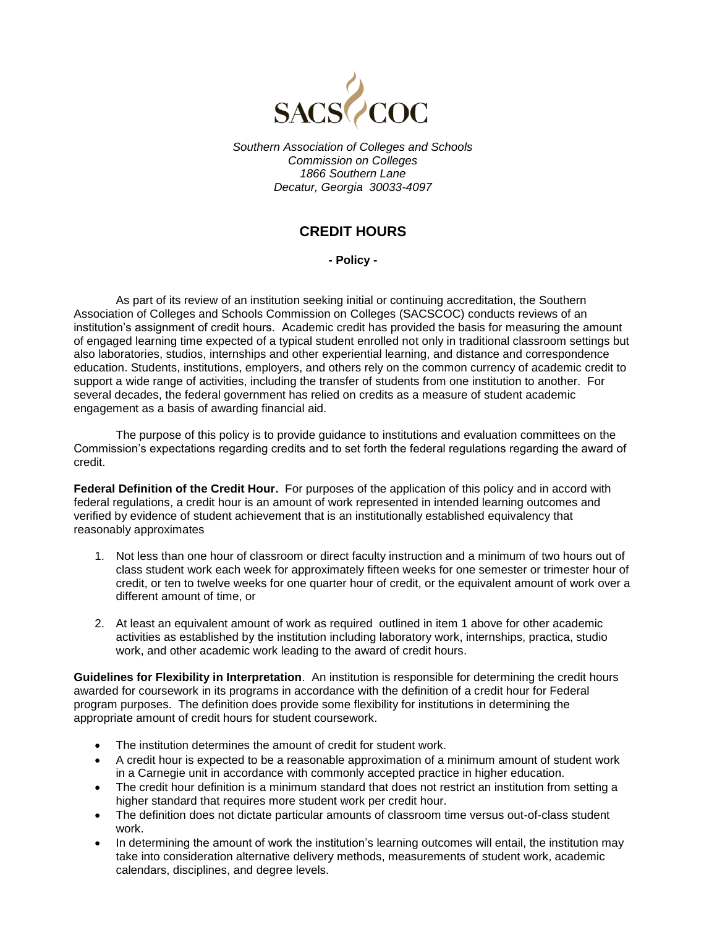

*Southern Association of Colleges and Schools Commission on Colleges 1866 Southern Lane Decatur, Georgia 30033-4097*

## **CREDIT HOURS**

**- Policy -**

As part of its review of an institution seeking initial or continuing accreditation, the Southern Association of Colleges and Schools Commission on Colleges (SACSCOC) conducts reviews of an institution's assignment of credit hours. Academic credit has provided the basis for measuring the amount of engaged learning time expected of a typical student enrolled not only in traditional classroom settings but also laboratories, studios, internships and other experiential learning, and distance and correspondence education. Students, institutions, employers, and others rely on the common currency of academic credit to support a wide range of activities, including the transfer of students from one institution to another. For several decades, the federal government has relied on credits as a measure of student academic engagement as a basis of awarding financial aid.

The purpose of this policy is to provide guidance to institutions and evaluation committees on the Commission's expectations regarding credits and to set forth the federal regulations regarding the award of credit.

**Federal Definition of the Credit Hour.** For purposes of the application of this policy and in accord with federal regulations, a credit hour is an amount of work represented in intended learning outcomes and verified by evidence of student achievement that is an institutionally established equivalency that reasonably approximates

- 1. Not less than one hour of classroom or direct faculty instruction and a minimum of two hours out of class student work each week for approximately fifteen weeks for one semester or trimester hour of credit, or ten to twelve weeks for one quarter hour of credit, or the equivalent amount of work over a different amount of time, or
- 2. At least an equivalent amount of work as required outlined in item 1 above for other academic activities as established by the institution including laboratory work, internships, practica, studio work, and other academic work leading to the award of credit hours.

**Guidelines for Flexibility in Interpretation**. An institution is responsible for determining the credit hours awarded for coursework in its programs in accordance with the definition of a credit hour for Federal program purposes. The definition does provide some flexibility for institutions in determining the appropriate amount of credit hours for student coursework.

- The institution determines the amount of credit for student work.
- A credit hour is expected to be a reasonable approximation of a minimum amount of student work in a Carnegie unit in accordance with commonly accepted practice in higher education.
- The credit hour definition is a minimum standard that does not restrict an institution from setting a higher standard that requires more student work per credit hour.
- The definition does not dictate particular amounts of classroom time versus out-of-class student work.
- In determining the amount of work the institution's learning outcomes will entail, the institution may take into consideration alternative delivery methods, measurements of student work, academic calendars, disciplines, and degree levels.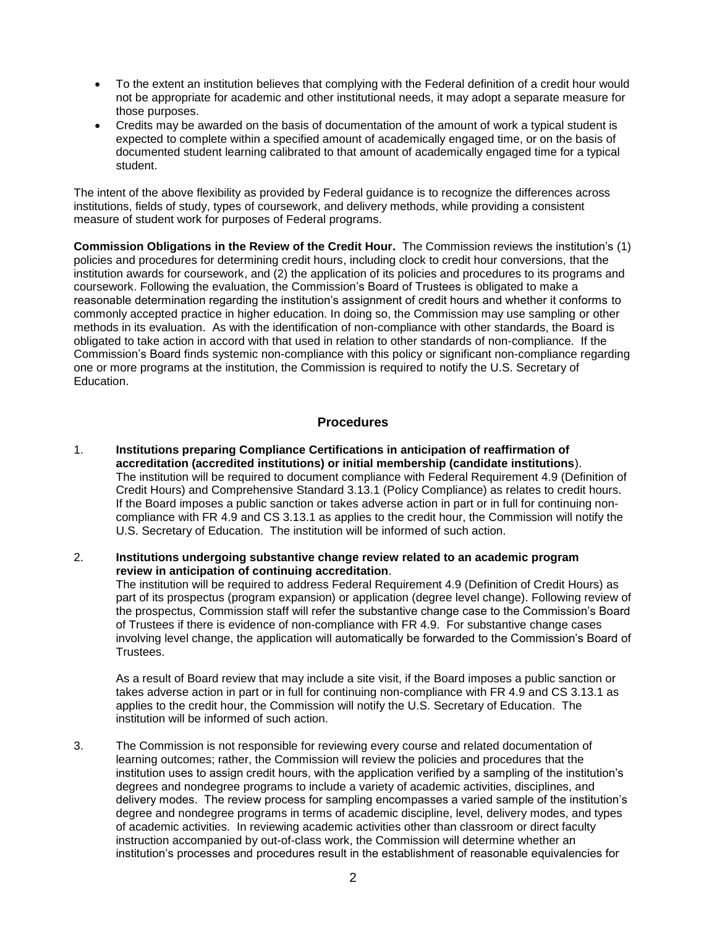- To the extent an institution believes that complying with the Federal definition of a credit hour would not be appropriate for academic and other institutional needs, it may adopt a separate measure for those purposes.
- Credits may be awarded on the basis of documentation of the amount of work a typical student is expected to complete within a specified amount of academically engaged time, or on the basis of documented student learning calibrated to that amount of academically engaged time for a typical student.

The intent of the above flexibility as provided by Federal guidance is to recognize the differences across institutions, fields of study, types of coursework, and delivery methods, while providing a consistent measure of student work for purposes of Federal programs.

**Commission Obligations in the Review of the Credit Hour.** The Commission reviews the institution's (1) policies and procedures for determining credit hours, including clock to credit hour conversions, that the institution awards for coursework, and (2) the application of its policies and procedures to its programs and coursework. Following the evaluation, the Commission's Board of Trustees is obligated to make a reasonable determination regarding the institution's assignment of credit hours and whether it conforms to commonly accepted practice in higher education. In doing so, the Commission may use sampling or other methods in its evaluation. As with the identification of non-compliance with other standards, the Board is obligated to take action in accord with that used in relation to other standards of non-compliance. If the Commission's Board finds systemic non-compliance with this policy or significant non-compliance regarding one or more programs at the institution, the Commission is required to notify the U.S. Secretary of Education.

## **Procedures**

- 1. **Institutions preparing Compliance Certifications in anticipation of reaffirmation of accreditation (accredited institutions) or initial membership (candidate institutions**). The institution will be required to document compliance with Federal Requirement 4.9 (Definition of Credit Hours) and Comprehensive Standard 3.13.1 (Policy Compliance) as relates to credit hours. If the Board imposes a public sanction or takes adverse action in part or in full for continuing noncompliance with FR 4.9 and CS 3.13.1 as applies to the credit hour, the Commission will notify the U.S. Secretary of Education. The institution will be informed of such action.
- 2. **Institutions undergoing substantive change review related to an academic program review in anticipation of continuing accreditation**.

The institution will be required to address Federal Requirement 4.9 (Definition of Credit Hours) as part of its prospectus (program expansion) or application (degree level change). Following review of the prospectus, Commission staff will refer the substantive change case to the Commission's Board of Trustees if there is evidence of non-compliance with FR 4.9. For substantive change cases involving level change, the application will automatically be forwarded to the Commission's Board of Trustees.

As a result of Board review that may include a site visit, if the Board imposes a public sanction or takes adverse action in part or in full for continuing non-compliance with FR 4.9 and CS 3.13.1 as applies to the credit hour, the Commission will notify the U.S. Secretary of Education. The institution will be informed of such action.

3. The Commission is not responsible for reviewing every course and related documentation of learning outcomes; rather, the Commission will review the policies and procedures that the institution uses to assign credit hours, with the application verified by a sampling of the institution's degrees and nondegree programs to include a variety of academic activities, disciplines, and delivery modes. The review process for sampling encompasses a varied sample of the institution's degree and nondegree programs in terms of academic discipline, level, delivery modes, and types of academic activities. In reviewing academic activities other than classroom or direct faculty instruction accompanied by out-of-class work, the Commission will determine whether an institution's processes and procedures result in the establishment of reasonable equivalencies for